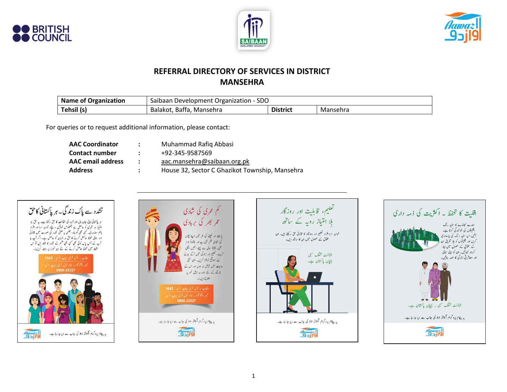





### **REFERRAL DIRECTORY OF SERVICES IN DISTRICT MANSEHRA**

| Name of Organization | Saibaan Development Organization - SDO |                 |          |
|----------------------|----------------------------------------|-----------------|----------|
| Tehsil (s)           | Balakot, Baffa, Mansehra               | <b>District</b> | Mansehra |

For queries or to request additional information, please contact:

| <b>AAC Coordinator</b>   | $\mathbf{r}$  | Muhammad Rafiq Abbasi                          |
|--------------------------|---------------|------------------------------------------------|
| <b>Contact number</b>    | $\mathcal{L}$ | +92-345-9587569                                |
| <b>AAC</b> email address | $\sim$        | aac.mansehra@saibaan.org.pk                    |
| <b>Address</b>           | $\mathcal{L}$ | House 32, Sector C Ghazikot Township, Mansehra |

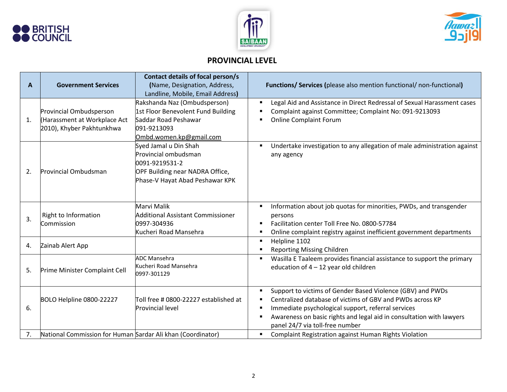





## **PROVINCIAL LEVEL**

| A  | <b>Government Services</b>                                                          | Contact details of focal person/s<br>(Name, Designation, Address,                                                                     | <b>Functions/ Services (please also mention functional/ non-functional)</b>                                                                                                                                                                                                              |
|----|-------------------------------------------------------------------------------------|---------------------------------------------------------------------------------------------------------------------------------------|------------------------------------------------------------------------------------------------------------------------------------------------------------------------------------------------------------------------------------------------------------------------------------------|
|    |                                                                                     | Landline, Mobile, Email Address)                                                                                                      |                                                                                                                                                                                                                                                                                          |
| 1. | Provincial Ombudsperson<br>Harassment at Workplace Act<br>2010), Khyber Pakhtunkhwa | Rakshanda Naz (Ombudsperson)<br>1st Floor Benevolent Fund Building<br>Saddar Road Peshawar<br>091-9213093<br>Ombd.women.kp@gmail.com  | Legal Aid and Assistance in Direct Redressal of Sexual Harassment cases<br>Complaint against Committee; Complaint No: 091-9213093<br><b>Online Complaint Forum</b>                                                                                                                       |
| 2. | Provincial Ombudsman                                                                | Syed Jamal u Din Shah<br>Provincial ombudsman<br>0091-9219531-2<br>OPF Building near NADRA Office,<br>Phase-V Hayat Abad Peshawar KPK | Undertake investigation to any allegation of male administration against<br>$\blacksquare$<br>any agency                                                                                                                                                                                 |
| 3. | Right to Information<br>Commission                                                  | Marvi Malik<br><b>Additional Assistant Commissioner</b><br>0997-304936<br>Kucheri Road Mansehra                                       | Information about job quotas for minorities, PWDs, and transgender<br>٠<br>persons<br>Facilitation center Toll Free No. 0800-57784<br>٠<br>Online complaint registry against inefficient government departments<br>٠                                                                     |
| 4. | Zainab Alert App                                                                    |                                                                                                                                       | Helpline 1102<br>٠<br><b>Reporting Missing Children</b>                                                                                                                                                                                                                                  |
| 5. | Prime Minister Complaint Cell                                                       | <b>ADC Mansehra</b><br>Kucheri Road Mansehra<br>0997-301129                                                                           | Wasilla E Taaleem provides financial assistance to support the primary<br>education of $4 - 12$ year old children                                                                                                                                                                        |
| 6. | BOLO Helpline 0800-22227                                                            | Toll free # 0800-22227 established at<br><b>Provincial level</b>                                                                      | Support to victims of Gender Based Violence (GBV) and PWDs<br>Centralized database of victims of GBV and PWDs across KP<br>Immediate psychological support, referral services<br>Awareness on basic rights and legal aid in consultation with lawyers<br>panel 24/7 via toll-free number |
| 7. | National Commission for Human Sardar Ali khan (Coordinator)                         |                                                                                                                                       | Complaint Registration against Human Rights Violation<br>٠                                                                                                                                                                                                                               |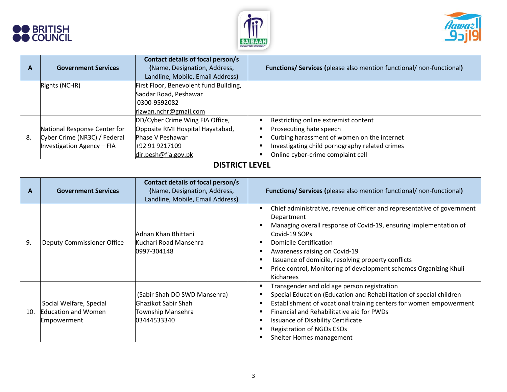





| A  | <b>Government Services</b>   | Contact details of focal person/s<br>(Name, Designation, Address,<br>Landline, Mobile, Email Address) | <b>Functions/ Services (please also mention functional/ non-functional)</b> |
|----|------------------------------|-------------------------------------------------------------------------------------------------------|-----------------------------------------------------------------------------|
|    | Rights (NCHR)                | First Floor, Benevolent fund Building,                                                                |                                                                             |
|    |                              | Saddar Road, Peshawar                                                                                 |                                                                             |
|    |                              | 0300-9592082                                                                                          |                                                                             |
|    |                              | rizwan.nchr@gmail.com                                                                                 |                                                                             |
|    |                              | DD/Cyber Crime Wing FIA Office,                                                                       | Restricting online extremist content                                        |
|    | National Response Center for | Opposite RMI Hospital Hayatabad,                                                                      | Prosecuting hate speech                                                     |
| 8. | Cyber Crime (NR3C) / Federal | <b>Phase V Peshawar</b>                                                                               | Curbing harassment of women on the internet                                 |
|    | Investigation Agency - FIA   | +92 91 9217109                                                                                        | Investigating child pornography related crimes                              |
|    |                              | dir.pesh@fia.gov.pk                                                                                   | Online cyber-crime complaint cell                                           |

## **DISTRICT LEVEL**

| A   | <b>Government Services</b>                                           | Contact details of focal person/s<br>(Name, Designation, Address,<br>Landline, Mobile, Email Address) | <b>Functions/ Services (please also mention functional/ non-functional)</b>                                                                                                                                                                                                                                                                                                   |
|-----|----------------------------------------------------------------------|-------------------------------------------------------------------------------------------------------|-------------------------------------------------------------------------------------------------------------------------------------------------------------------------------------------------------------------------------------------------------------------------------------------------------------------------------------------------------------------------------|
| 9.  | Deputy Commissioner Office                                           | Adnan Khan Bhittani<br>Kuchari Road Mansehra<br>0997-304148                                           | Chief administrative, revenue officer and representative of government<br>Department<br>Managing overall response of Covid-19, ensuring implementation of<br>Covid-19 SOPs<br>Domicile Certification<br>Awareness raising on Covid-19<br>Issuance of domicile, resolving property conflicts<br>Price control, Monitoring of development schemes Organizing Khuli<br>Kicharees |
| 10. | Social Welfare, Special<br><b>Education and Women</b><br>Empowerment | (Sabir Shah DO SWD Mansehra)<br><b>Ghazikot Sabir Shah</b><br>Township Mansehra<br>03444533340        | Transgender and old age person registration<br>Special Education (Education and Rehabilitation of special children<br>Establishment of vocational training centers for women empowerment<br>Financial and Rehabilitative aid for PWDs<br><b>Issuance of Disability Certificate</b><br>Registration of NGOs CSOs<br>Shelter Homes management                                   |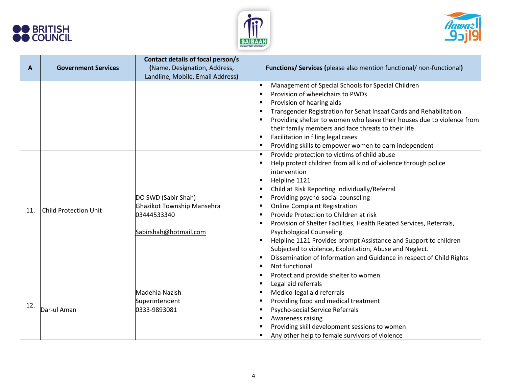





| A   | <b>Government Services</b>   | Contact details of focal person/s<br>(Name, Designation, Address,<br>Landline, Mobile, Email Address) | <b>Functions/ Services (please also mention functional/ non-functional)</b>                                                                                                                                                                                                                                                                                                                                                                                                                                                                                                                                 |
|-----|------------------------------|-------------------------------------------------------------------------------------------------------|-------------------------------------------------------------------------------------------------------------------------------------------------------------------------------------------------------------------------------------------------------------------------------------------------------------------------------------------------------------------------------------------------------------------------------------------------------------------------------------------------------------------------------------------------------------------------------------------------------------|
|     |                              |                                                                                                       | Management of Special Schools for Special Children<br>Provision of wheelchairs to PWDs<br>Provision of hearing aids<br>Transgender Registration for Sehat Insaaf Cards and Rehabilitation<br>Providing shelter to women who leave their houses due to violence from<br>their family members and face threats to their life<br>Facilitation in filing legal cases<br>Providing skills to empower women to earn independent<br>Provide protection to victims of child abuse                                                                                                                                   |
| 11. | <b>Child Protection Unit</b> | DO SWD (Sabir Shah)<br>Ghazikot Township Mansehra<br>03444533340<br>Sabirshah@hotmail.com             | Help protect children from all kind of violence through police<br>intervention<br>Helpline 1121<br>Child at Risk Reporting Individually/Referral<br>Providing psycho-social counseling<br><b>Online Complaint Registration</b><br>Provide Protection to Children at risk<br>Provision of Shelter Facilities, Health Related Services, Referrals,<br>Psychological Counseling.<br>Helpline 1121 Provides prompt Assistance and Support to children<br>Subjected to violence, Exploitation, Abuse and Neglect.<br>Dissemination of Information and Guidance in respect of Child Rights<br>Not functional<br>٠ |
| 12. | Dar-ul Aman                  | Madehia Nazish<br>Superintendent<br>0333-9893081                                                      | Protect and provide shelter to women<br>$\blacksquare$<br>Legal aid referrals<br>Medico-legal aid referrals<br>Providing food and medical treatment<br>Psycho-social Service Referrals<br>Awareness raising<br>Providing skill development sessions to women<br>Any other help to female survivors of violence                                                                                                                                                                                                                                                                                              |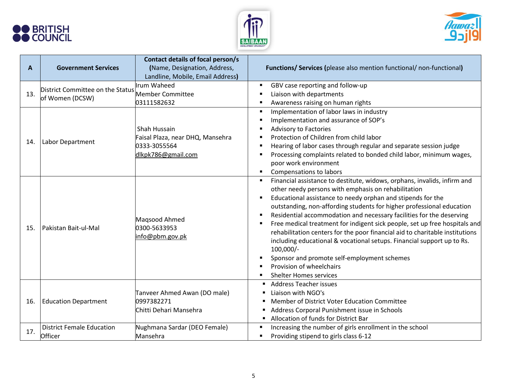





| A   | <b>Government Services</b>                          | Contact details of focal person/s<br>(Name, Designation, Address,<br>Landline, Mobile, Email Address) | <b>Functions/ Services (please also mention functional/ non-functional)</b>                                                                                                                                                                                                                                                                                                                                                                                                                                                                                                                                                                                                                                        |
|-----|-----------------------------------------------------|-------------------------------------------------------------------------------------------------------|--------------------------------------------------------------------------------------------------------------------------------------------------------------------------------------------------------------------------------------------------------------------------------------------------------------------------------------------------------------------------------------------------------------------------------------------------------------------------------------------------------------------------------------------------------------------------------------------------------------------------------------------------------------------------------------------------------------------|
| 13. | District Committee on the Status<br>of Women (DCSW) | Irum Waheed<br>Member Committee<br>03111582632                                                        | GBV case reporting and follow-up<br>Liaison with departments<br>Awareness raising on human rights                                                                                                                                                                                                                                                                                                                                                                                                                                                                                                                                                                                                                  |
| 14. | Labor Department                                    | Shah Hussain<br>Faisal Plaza, near DHQ, Mansehra<br>0333-3055564<br>dlkpk786@gmail.com                | Implementation of labor laws in industry<br>$\blacksquare$<br>Implementation and assurance of SOP's<br>Advisory to Factories<br>Protection of Children from child labor<br>Hearing of labor cases through regular and separate session judge<br>Processing complaints related to bonded child labor, minimum wages,<br>poor work environment<br>Compensations to labors<br>$\blacksquare$                                                                                                                                                                                                                                                                                                                          |
| 15. | Pakistan Bait-ul-Mal                                | Magsood Ahmed<br>0300-5633953<br>info@pbm.gov.pk                                                      | Financial assistance to destitute, widows, orphans, invalids, infirm and<br>other needy persons with emphasis on rehabilitation<br>Educational assistance to needy orphan and stipends for the<br>outstanding, non-affording students for higher professional education<br>Residential accommodation and necessary facilities for the deserving<br>Free medical treatment for indigent sick people, set up free hospitals and<br>rehabilitation centers for the poor financial aid to charitable institutions<br>including educational & vocational setups. Financial support up to Rs.<br>$100,000/-$<br>Sponsor and promote self-employment schemes<br>Provision of wheelchairs<br><b>Shelter Homes services</b> |
| 16. | <b>Education Department</b>                         | Tanveer Ahmed Awan (DO male)<br>0997382271<br>Chitti Dehari Mansehra                                  | <b>Address Teacher issues</b><br>Liaison with NGO's<br>Member of District Voter Education Committee<br>п<br>Address Corporal Punishment issue in Schools<br>Allocation of funds for District Bar<br>$\blacksquare$                                                                                                                                                                                                                                                                                                                                                                                                                                                                                                 |
| 17. | <b>District Female Education</b><br>Officer         | Nughmana Sardar (DEO Female)<br>Mansehra                                                              | Increasing the number of girls enrollment in the school<br>Providing stipend to girls class 6-12                                                                                                                                                                                                                                                                                                                                                                                                                                                                                                                                                                                                                   |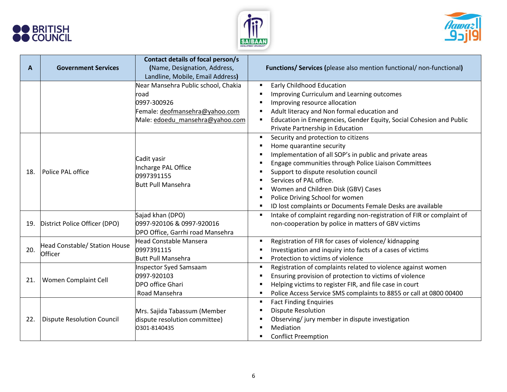





| A   | <b>Government Services</b>               | Contact details of focal person/s<br>(Name, Designation, Address,<br>Landline, Mobile, Email Address)                           | <b>Functions/ Services (please also mention functional/ non-functional)</b>                                                                                                                                                                                                                                                                                                                                      |
|-----|------------------------------------------|---------------------------------------------------------------------------------------------------------------------------------|------------------------------------------------------------------------------------------------------------------------------------------------------------------------------------------------------------------------------------------------------------------------------------------------------------------------------------------------------------------------------------------------------------------|
|     |                                          | Near Mansehra Public school, Chakia<br>road<br>0997-300926<br>Female: deofmansehra@yahoo.com<br>Male: edoedu mansehra@yahoo.com | <b>Early Childhood Education</b><br>Improving Curriculum and Learning outcomes<br>Improving resource allocation<br>Adult literacy and Non formal education and<br>Education in Emergencies, Gender Equity, Social Cohesion and Public<br>Private Partnership in Education                                                                                                                                        |
| 18. | Police PAL office                        | Cadit yasir<br>Incharge PAL Office<br>0997391155<br><b>Butt Pull Mansehra</b>                                                   | Security and protection to citizens<br>$\blacksquare$<br>Home quarantine security<br>Implementation of all SOP's in public and private areas<br>Engage communities through Police Liaison Committees<br>Support to dispute resolution council<br>Services of PAL office.<br>Women and Children Disk (GBV) Cases<br>Police Driving School for women<br>ID lost complaints or Documents Female Desks are available |
| 19. | District Police Officer (DPO)            | Sajad khan (DPO)<br>0997-920106 & 0997-920016<br>DPO Office, Garrhi road Mansehra                                               | Intake of complaint regarding non-registration of FIR or complaint of<br>Ξ<br>non-cooperation by police in matters of GBV victims                                                                                                                                                                                                                                                                                |
| 20. | Head Constable/ Station House<br>Officer | <b>Head Constable Mansera</b><br>0997391115<br><b>Butt Pull Mansehra</b>                                                        | Registration of FIR for cases of violence/ kidnapping<br>Investigation and inquiry into facts of a cases of victims<br>Protection to victims of violence<br>$\blacksquare$                                                                                                                                                                                                                                       |
| 21. | Women Complaint Cell                     | <b>Inspector Syed Samsaam</b><br>0997-920103<br><b>DPO office Ghari</b><br>Road Mansehra                                        | Registration of complaints related to violence against women<br>Ensuring provision of protection to victims of violence<br>Helping victims to register FIR, and file case in court<br>Police Access Service SMS complaints to 8855 or call at 0800 00400                                                                                                                                                         |
| 22. | <b>Dispute Resolution Council</b>        | Mrs. Sajida Tabassum (Member<br>dispute resolution committee)<br>0301-8140435                                                   | <b>Fact Finding Enquiries</b><br><b>Dispute Resolution</b><br>Observing/jury member in dispute investigation<br>Mediation<br><b>Conflict Preemption</b>                                                                                                                                                                                                                                                          |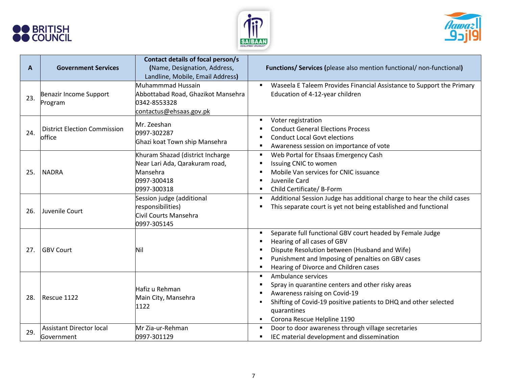





| A   | <b>Government Services</b>                    | Contact details of focal person/s<br>(Name, Designation, Address,<br>Landline, Mobile, Email Address)        | <b>Functions/ Services (please also mention functional/ non-functional)</b>                                                                                                                                                                  |
|-----|-----------------------------------------------|--------------------------------------------------------------------------------------------------------------|----------------------------------------------------------------------------------------------------------------------------------------------------------------------------------------------------------------------------------------------|
| 23. | Benazir Income Support<br>Program             | Muhammmad Hussain<br>Abbottabad Road, Ghazikot Mansehra<br>0342-8553328<br>contactus@ehsaas.gov.pk           | Waseela E Taleem Provides Financial Assistance to Support the Primary<br>Education of 4-12-year children                                                                                                                                     |
| 24. | <b>District Election Commission</b><br>office | Mr. Zeeshan<br>0997-302287<br>Ghazi koat Town ship Mansehra                                                  | Voter registration<br><b>Conduct General Elections Process</b><br><b>Conduct Local Govt elections</b><br>Awareness session on importance of vote<br>$\blacksquare$                                                                           |
| 25. | <b>NADRA</b>                                  | Khuram Shazad (district Incharge<br>Near Lari Ada, Qarakuram road,<br>Mansehra<br>0997-300418<br>0997-300318 | Web Portal for Ehsaas Emergency Cash<br>Issuing CNIC to women<br>Mobile Van services for CNIC issuance<br>Juvenile Card<br>$\blacksquare$<br>Child Certificate/ B-Form<br>٠                                                                  |
| 26. | Juvenile Court                                | Session judge (additional<br>responsibilities)<br>Civil Courts Mansehra<br>0997-305145                       | Additional Session Judge has additional charge to hear the child cases<br>$\blacksquare$<br>This separate court is yet not being established and functional                                                                                  |
| 27. | <b>GBV Court</b>                              | Nil                                                                                                          | Separate full functional GBV court headed by Female Judge<br>Hearing of all cases of GBV<br>Dispute Resolution between (Husband and Wife)<br>Punishment and Imposing of penalties on GBV cases<br>Hearing of Divorce and Children cases      |
| 28. | Rescue 1122                                   | Hafiz u Rehman<br>Main City, Mansehra<br>1122                                                                | Ambulance services<br>$\blacksquare$<br>Spray in quarantine centers and other risky areas<br>Awareness raising on Covid-19<br>Shifting of Covid-19 positive patients to DHQ and other selected<br>quarantines<br>Corona Rescue Helpline 1190 |
| 29. | <b>Assistant Director local</b><br>Government | Mr Zia-ur-Rehman<br>0997-301129                                                                              | Door to door awareness through village secretaries<br>$\blacksquare$<br>IEC material development and dissemination                                                                                                                           |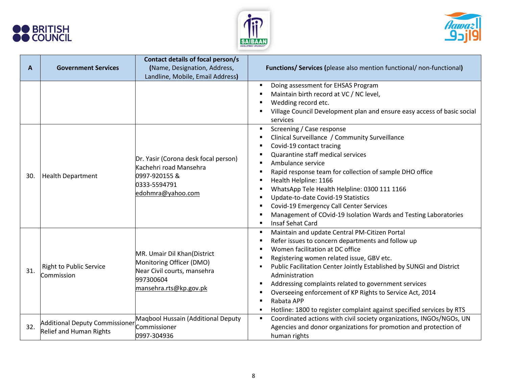





| A   | <b>Government Services</b>                                       | Contact details of focal person/s<br>(Name, Designation, Address,<br>Landline, Mobile, Email Address)                         | <b>Functions/ Services (please also mention functional/ non-functional)</b>                                                                                                                                                                                                                                                                                                                                                                                                                                                           |
|-----|------------------------------------------------------------------|-------------------------------------------------------------------------------------------------------------------------------|---------------------------------------------------------------------------------------------------------------------------------------------------------------------------------------------------------------------------------------------------------------------------------------------------------------------------------------------------------------------------------------------------------------------------------------------------------------------------------------------------------------------------------------|
|     |                                                                  |                                                                                                                               | Doing assessment for EHSAS Program<br>$\blacksquare$<br>Maintain birth record at VC / NC level,<br>Wedding record etc.<br>Village Council Development plan and ensure easy access of basic social<br>services                                                                                                                                                                                                                                                                                                                         |
| 30. | <b>Health Department</b>                                         | Dr. Yasir (Corona desk focal person)<br>Kachehri road Mansehra<br>0997-920155 &<br>0333-5594791<br>edohmra@yahoo.com          | Screening / Case response<br>$\blacksquare$<br>Clinical Surveillance / Community Surveillance<br>Covid-19 contact tracing<br>Quarantine staff medical services<br>Ambulance service<br>$\blacksquare$<br>Rapid response team for collection of sample DHO office<br>Health Helpline: 1166<br>WhatsApp Tele Health Helpline: 0300 111 1166<br>Update-to-date Covid-19 Statistics<br>Covid-19 Emergency Call Center Services<br>Management of COvid-19 Isolation Wards and Testing Laboratories<br>Insaf Sehat Card<br>$\blacksquare$   |
| 31. | <b>Right to Public Service</b><br>Commission                     | MR. Umair Dil Khan(District<br>Monitoring Officer (DMO)<br>Near Civil courts, mansehra<br>997300604<br>mansehra.rts@kp.gov.pk | Maintain and update Central PM-Citizen Portal<br>٠<br>Refer issues to concern departments and follow up<br>$\blacksquare$<br>Women facilitation at DC office<br>Registering women related issue, GBV etc.<br>Public Facilitation Center Jointly Established by SUNGI and District<br>Administration<br>Addressing complaints related to government services<br>Overseeing enforcement of KP Rights to Service Act, 2014<br>Rabata APP<br>$\blacksquare$<br>Hotline: 1800 to register complaint against specified services by RTS<br>٠ |
| 32. | <b>Additional Deputy Commissioner</b><br>Relief and Human Rights | Maqbool Hussain (Additional Deputy<br>Commissioner<br>0997-304936                                                             | Coordinated actions with civil society organizations, INGOs/NGOs, UN<br>Agencies and donor organizations for promotion and protection of<br>human rights                                                                                                                                                                                                                                                                                                                                                                              |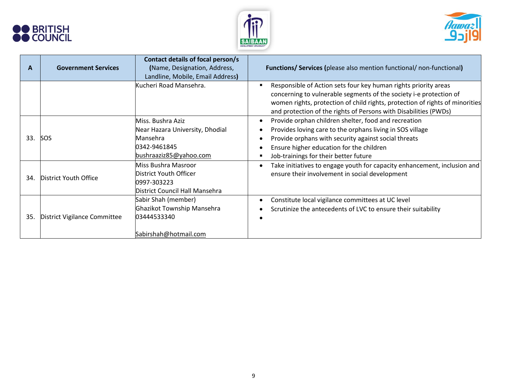





| A   | <b>Government Services</b>   | Contact details of focal person/s<br>(Name, Designation, Address,<br>Landline, Mobile, Email Address)      | <b>Functions/ Services (please also mention functional/ non-functional)</b>                                                                                                                                                                                                               |
|-----|------------------------------|------------------------------------------------------------------------------------------------------------|-------------------------------------------------------------------------------------------------------------------------------------------------------------------------------------------------------------------------------------------------------------------------------------------|
|     |                              | Kucheri Road Mansehra.                                                                                     | Responsible of Action sets four key human rights priority areas<br>concerning to vulnerable segments of the society i-e protection of<br>women rights, protection of child rights, protection of rights of minorities<br>and protection of the rights of Persons with Disabilities (PWDs) |
| 33. | <b>SOS</b>                   | Miss. Bushra Aziz<br>Near Hazara University, Dhodial<br>Mansehra<br>0342-9461845<br>bushraaziz85@yahoo.com | Provide orphan children shelter, food and recreation<br>Provides loving care to the orphans living in SOS village<br>Provide orphans with security against social threats<br>Ensure higher education for the children<br>Job-trainings for their better future                            |
| 34. | District Youth Office        | Miss Bushra Masroor<br>District Youth Officer<br>0997-303223<br>District Council Hall Mansehra             | Take initiatives to engage youth for capacity enhancement, inclusion and<br>ensure their involvement in social development                                                                                                                                                                |
| 35. | District Vigilance Committee | Sabir Shah (member)<br>Ghazikot Township Mansehra<br>03444533340<br>Sabirshah@hotmail.com                  | Constitute local vigilance committees at UC level<br>Scrutinize the antecedents of LVC to ensure their suitability                                                                                                                                                                        |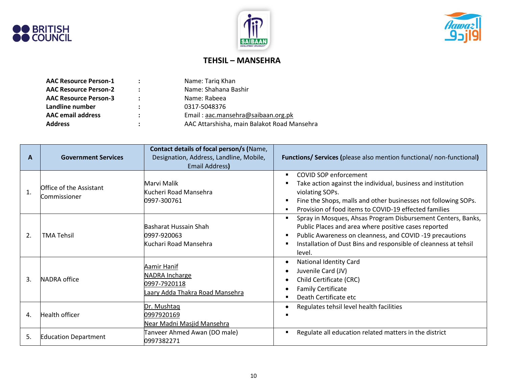





## **TEHSIL – MANSEHRA**

| <b>AAC Resource Person-1</b> | $\ddot{\phantom{a}}$ | Name: Tariq Khan                            |
|------------------------------|----------------------|---------------------------------------------|
| <b>AAC Resource Person-2</b> | ÷                    | Name: Shahana Bashir                        |
| <b>AAC Resource Person-3</b> | $\ddot{\phantom{a}}$ | Name: Rabeea                                |
| Landline number              | $\ddot{\cdot}$       | 0317-5048376                                |
| <b>AAC</b> email address     | :                    | Email: aac.mansehra@saibaan.org.pk          |
| <b>Address</b>               | ÷                    | AAC Attarshisha, main Balakot Road Mansehra |

| A  | <b>Government Services</b>              | Contact details of focal person/s (Name,<br>Designation, Address, Landline, Mobile,<br><b>Email Address)</b> | <b>Functions/ Services (please also mention functional/ non-functional)</b>                                                                                                                                                                                                              |
|----|-----------------------------------------|--------------------------------------------------------------------------------------------------------------|------------------------------------------------------------------------------------------------------------------------------------------------------------------------------------------------------------------------------------------------------------------------------------------|
| 1. | Office of the Assistant<br>Commissioner | Marvi Malik<br>Kucheri Road Mansehra<br>0997-300761                                                          | <b>COVID SOP enforcement</b><br>$\blacksquare$<br>Take action against the individual, business and institution<br>п<br>violating SOPs.<br>Fine the Shops, malls and other businesses not following SOPs.<br>п<br>Provision of food items to COVID-19 effected families<br>$\blacksquare$ |
| 2. | <b>TMA Tehsil</b>                       | Basharat Hussain Shah<br>0997-920063<br>Kuchari Road Mansehra                                                | Spray in Mosques, Ahsas Program Disbursement Centers, Banks,<br>п<br>Public Places and area where positive cases reported<br>Public Awareness on cleanness, and COVID-19 precautions<br>п<br>Installation of Dust Bins and responsible of cleanness at tehsil<br>в<br>level.             |
| 3. | NADRA office                            | Aamir Hanif<br>NADRA Incharge<br>0997-7920118<br>Laary Adda Thakra Road Mansehra                             | National Identity Card<br>$\bullet$<br>Juvenile Card (JV)<br>$\bullet$<br>Child Certificate (CRC)<br>٠<br><b>Family Certificate</b><br>$\bullet$<br>Death Certificate etc<br>п                                                                                                           |
| 4. | Health officer                          | Dr. Mushtaq<br>0997920169<br>Near Madni Masjid Mansehra                                                      | Regulates tehsil level health facilities<br>٠                                                                                                                                                                                                                                            |
| 5. | <b>Education Department</b>             | Tanveer Ahmed Awan (DO male)<br>0997382271                                                                   | Regulate all education related matters in the district<br>п                                                                                                                                                                                                                              |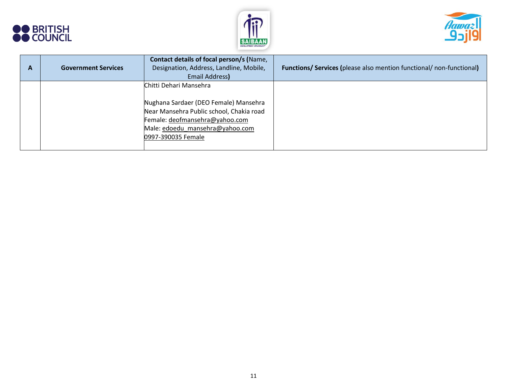





| A | <b>Government Services</b> | Contact details of focal person/s (Name,<br>Designation, Address, Landline, Mobile,<br>Email Address)                                                                                                  | <b>Functions/ Services (please also mention functional/ non-functional)</b> |
|---|----------------------------|--------------------------------------------------------------------------------------------------------------------------------------------------------------------------------------------------------|-----------------------------------------------------------------------------|
|   |                            | Chitti Dehari Mansehra<br>Nughana Sardaer (DEO Female) Mansehra<br>Near Mansehra Public school, Chakia road<br>Female: deofmansehra@yahoo.com<br>Male: edoedu mansehra@yahoo.com<br>0997-390035 Female |                                                                             |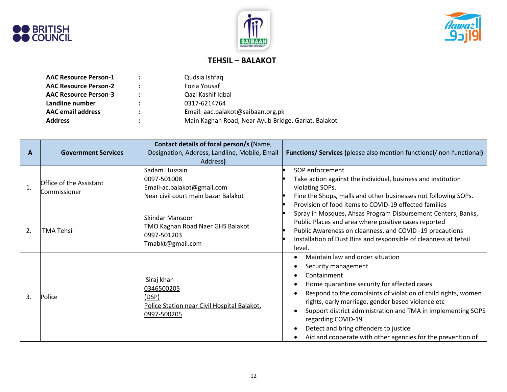





# **TEHSIL – BALAKOT**

| <b>AAC Resource Person-1</b> | $\mathbb{R}^n$       | Qudsia Ishfaq                                       |
|------------------------------|----------------------|-----------------------------------------------------|
| <b>AAC Resource Person-2</b> | $\ddot{\phantom{a}}$ | Fozia Yousaf                                        |
| <b>AAC Resource Person-3</b> | $\ddot{\phantom{a}}$ | Qazi Kashif Iqbal                                   |
| Landline number              | ÷                    | 0317-6214764                                        |
| <b>AAC</b> email address     | ÷                    | Email: aac.balakot@saibaan.org.pk                   |
| <b>Address</b>               | ٠                    | Main Kaghan Road, Near Ayub Bridge, Garlat, Balakot |

|    |                                         | Contact details of focal person/s (Name,                                                          |                                                                                                                                                                                                                                                                                                                                                                                                                                           |
|----|-----------------------------------------|---------------------------------------------------------------------------------------------------|-------------------------------------------------------------------------------------------------------------------------------------------------------------------------------------------------------------------------------------------------------------------------------------------------------------------------------------------------------------------------------------------------------------------------------------------|
| A  | <b>Government Services</b>              | Designation, Address, Landline, Mobile, Email                                                     | <b>Functions/ Services (please also mention functional/ non-functional)</b>                                                                                                                                                                                                                                                                                                                                                               |
|    |                                         | Address)                                                                                          |                                                                                                                                                                                                                                                                                                                                                                                                                                           |
| 1. | Office of the Assistant<br>Commissioner | Sadam Hussain<br>0097-501008<br>Email-ac.balakot@gmail.com<br>Near civil court main bazar Balakot | SOP enforcement<br>Take action against the individual, business and institution<br>violating SOPs.<br>Fine the Shops, malls and other businesses not following SOPs.<br>Provision of food items to COVID-19 effected families                                                                                                                                                                                                             |
| 2. | <b>TMA Tehsil</b>                       | Skindar Mansoor<br>TMO Kaghan Road Naer GHS Balakot<br>0997-501203<br>Tmabkt@gmail.com            | Spray in Mosques, Ahsas Program Disbursement Centers, Banks,<br>Public Places and area where positive cases reported<br>Public Awareness on cleanness, and COVID-19 precautions<br>Installation of Dust Bins and responsible of cleanness at tehsil<br>level.                                                                                                                                                                             |
| 3. | Police                                  | Siraj khan<br>0346500205<br>(DSP)<br>Police Station near Civil Hospital Balakot,<br>0997-500205   | Maintain law and order situation<br>Security management<br>Containment<br>Home quarantine security for affected cases<br>Respond to the complaints of violation of child rights, women<br>rights, early marriage, gender based violence etc<br>Support district administration and TMA in implementing SOPS<br>regarding COVID-19<br>Detect and bring offenders to justice<br>Aid and cooperate with other agencies for the prevention of |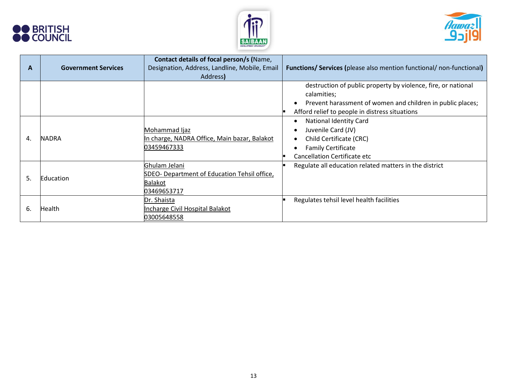





| A  | <b>Government Services</b> | Contact details of focal person/s (Name,<br>Designation, Address, Landline, Mobile, Email<br>Address) | <b>Functions/ Services (please also mention functional/ non-functional)</b>                                                                                                                  |
|----|----------------------------|-------------------------------------------------------------------------------------------------------|----------------------------------------------------------------------------------------------------------------------------------------------------------------------------------------------|
|    |                            |                                                                                                       | destruction of public property by violence, fire, or national<br>calamities;<br>Prevent harassment of women and children in public places;<br>Afford relief to people in distress situations |
| 4. | <b>NADRA</b>               | Mohammad Ijaz<br>In charge, NADRA Office, Main bazar, Balakot<br>03459467333                          | <b>National Identity Card</b><br>Juvenile Card (JV)<br>Child Certificate (CRC)<br><b>Family Certificate</b><br><b>Cancellation Certificate etc</b>                                           |
| 5. | Education                  | Ghulam Jelani<br>SDEO- Department of Education Tehsil office,<br><b>Balakot</b><br>03469653717        | Regulate all education related matters in the district                                                                                                                                       |
| 6. | Health                     | Dr. Shaista<br>Incharge Civil Hospital Balakot<br>03005648558                                         | Regulates tehsil level health facilities                                                                                                                                                     |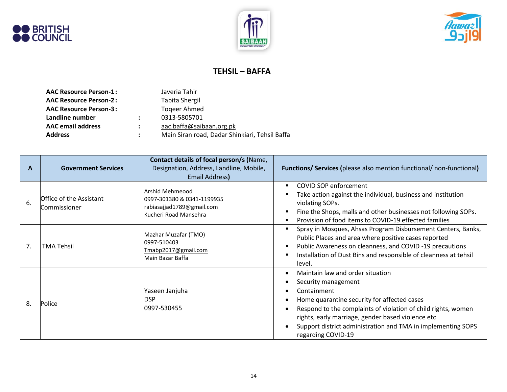





#### **TEHSIL – BAFFA**

| <b>AAC Resource Person-1:</b> |                      | Javeria Tahir                                  |
|-------------------------------|----------------------|------------------------------------------------|
| <b>AAC Resource Person-2:</b> |                      | <b>Tabita Shergil</b>                          |
| <b>AAC Resource Person-3:</b> |                      | <b>Togeer Ahmed</b>                            |
| Landline number               | $\ddot{\phantom{a}}$ | 0313-5805701                                   |
| <b>AAC</b> email address      | $\ddot{\phantom{a}}$ | aac.baffa@saibaan.org.pk                       |
| <b>Address</b>                |                      | Main Siran road, Dadar Shinkiari, Tehsil Baffa |
|                               |                      |                                                |

| A  | <b>Government Services</b>              | Contact details of focal person/s (Name,<br>Designation, Address, Landline, Mobile,<br>Email Address) | <b>Functions/ Services (please also mention functional/ non-functional)</b>                                                                                                                                                                                                                                                                    |
|----|-----------------------------------------|-------------------------------------------------------------------------------------------------------|------------------------------------------------------------------------------------------------------------------------------------------------------------------------------------------------------------------------------------------------------------------------------------------------------------------------------------------------|
| 6. | Office of the Assistant<br>Commissioner | Arshid Mehmeood<br>0997-301380 & 0341-1199935<br>rabiasajjad1789@gmail.com<br>Kucheri Road Mansehra   | COVID SOP enforcement<br>Take action against the individual, business and institution<br>violating SOPs.<br>Fine the Shops, malls and other businesses not following SOPs.<br>×<br>Provision of food items to COVID-19 effected families                                                                                                       |
| 7. | <b>TMA Tehsil</b>                       | Mazhar Muzafar (TMO)<br>0997-510403<br>Tmabp2017@gmail.com<br>Main Bazar Baffa                        | Spray in Mosques, Ahsas Program Disbursement Centers, Banks,<br>Public Places and area where positive cases reported<br>Public Awareness on cleanness, and COVID-19 precautions<br>л<br>Installation of Dust Bins and responsible of cleanness at tehsil<br>level.                                                                             |
| 8. | Police                                  | Yaseen Janjuha<br><b>DSP</b><br>0997-530455                                                           | Maintain law and order situation<br>$\bullet$<br>Security management<br>Containment<br>Home quarantine security for affected cases<br>Respond to the complaints of violation of child rights, women<br>rights, early marriage, gender based violence etc<br>Support district administration and TMA in implementing SOPS<br>regarding COVID-19 |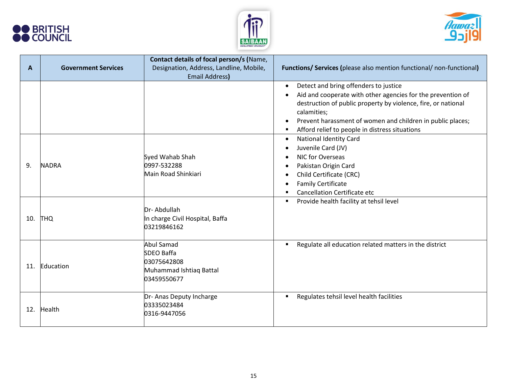





| A   | <b>Government Services</b> | Contact details of focal person/s (Name,<br>Designation, Address, Landline, Mobile,             | <b>Functions/ Services (please also mention functional/ non-functional)</b>                                                                                                                                                                                                                                            |
|-----|----------------------------|-------------------------------------------------------------------------------------------------|------------------------------------------------------------------------------------------------------------------------------------------------------------------------------------------------------------------------------------------------------------------------------------------------------------------------|
|     |                            | <b>Email Address)</b>                                                                           |                                                                                                                                                                                                                                                                                                                        |
|     |                            |                                                                                                 | Detect and bring offenders to justice<br>$\bullet$<br>Aid and cooperate with other agencies for the prevention of<br>destruction of public property by violence, fire, or national<br>calamities;<br>Prevent harassment of women and children in public places;<br>Afford relief to people in distress situations<br>п |
| 9.  | <b>NADRA</b>               | Syed Wahab Shah<br>0997-532288<br>Main Road Shinkiari                                           | <b>National Identity Card</b><br>$\bullet$<br>Juvenile Card (JV)<br>$\bullet$<br>NIC for Overseas<br>Pakistan Origin Card<br>$\bullet$<br>Child Certificate (CRC)<br><b>Family Certificate</b><br>Cancellation Certificate etc                                                                                         |
| 10. | <b>THQ</b>                 | Dr-Abdullah<br>In charge Civil Hospital, Baffa<br>03219846162                                   | Provide health facility at tehsil level<br>٠                                                                                                                                                                                                                                                                           |
| 11. | Education                  | <b>Abul Samad</b><br><b>SDEO Baffa</b><br>03075642808<br>Muhammad Ishtiaq Battal<br>03459550677 | Regulate all education related matters in the district                                                                                                                                                                                                                                                                 |
| 12. | Health                     | Dr- Anas Deputy Incharge<br>03335023484<br>0316-9447056                                         | Regulates tehsil level health facilities<br>٠                                                                                                                                                                                                                                                                          |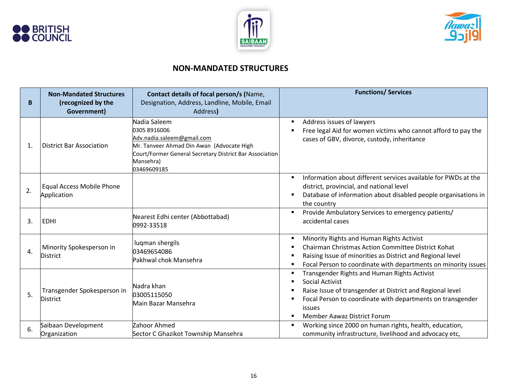





### **NON-MANDATED STRUCTURES**

| B                | <b>Non-Mandated Structures</b><br>(recognized by the<br>Government) | Contact details of focal person/s (Name,<br>Designation, Address, Landline, Mobile, Email<br>Address)                                                                                          | <b>Functions/ Services</b>                                                                                                                                                                                                                                                                                 |
|------------------|---------------------------------------------------------------------|------------------------------------------------------------------------------------------------------------------------------------------------------------------------------------------------|------------------------------------------------------------------------------------------------------------------------------------------------------------------------------------------------------------------------------------------------------------------------------------------------------------|
| $\mathbf{1}$     | <b>District Bar Association</b>                                     | Nadia Saleem<br>0305 8916006<br>Adv.nadia.saleem@gmail.com<br>Mr. Tanveer Ahmad Din Awan (Advocate High<br>Court/Former General Secretary District Bar Association<br>Mansehra)<br>03469609185 | Address issues of lawyers<br>$\blacksquare$<br>Free legal Aid for women victims who cannot afford to pay the<br>cases of GBV, divorce, custody, inheritance                                                                                                                                                |
| 2.               | <b>Equal Access Mobile Phone</b><br>Application                     |                                                                                                                                                                                                | Information about different services available for PWDs at the<br>$\blacksquare$<br>district, provincial, and national level<br>Database of information about disabled people organisations in<br>п<br>the country                                                                                         |
| 3.               | <b>EDHI</b>                                                         | Nearest Edhi center (Abbottabad)<br>0992-33518                                                                                                                                                 | Provide Ambulatory Services to emergency patients/<br>$\blacksquare$<br>accidental cases                                                                                                                                                                                                                   |
| $\overline{4}$ . | Minority Spokesperson in<br><b>District</b>                         | lugman shergils<br>03469654086<br>Pakhwal chok Mansehra                                                                                                                                        | Minority Rights and Human Rights Activist<br>п<br>Chairman Christmas Action Committee District Kohat<br>$\blacksquare$<br>Raising Issue of minorities as District and Regional level<br>п<br>Focal Person to coordinate with departments on minority issues<br>п                                           |
| 5.               | Transgender Spokesperson in<br><b>District</b>                      | Nadra khan<br>03005115050<br>Main Bazar Mansehra                                                                                                                                               | Transgender Rights and Human Rights Activist<br>п<br>Social Activist<br>$\blacksquare$<br>Raise Issue of transgender at District and Regional level<br>п<br>Focal Person to coordinate with departments on transgender<br>$\blacksquare$<br>issues<br><b>Member Aawaz District Forum</b><br>$\blacksquare$ |
| 6.               | Saibaan Development<br>Organization                                 | Zahoor Ahmed<br>Sector C Ghazikot Township Mansehra                                                                                                                                            | Working since 2000 on human rights, health, education,<br>$\blacksquare$<br>community infrastructure, livelihood and advocacy etc,                                                                                                                                                                         |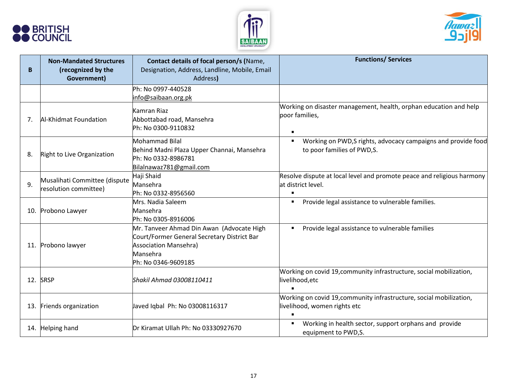





| B   | <b>Non-Mandated Structures</b><br>(recognized by the<br>Government) | Contact details of focal person/s (Name,<br>Designation, Address, Landline, Mobile, Email<br>Address)                                                       | <b>Functions/ Services</b>                                                                                    |
|-----|---------------------------------------------------------------------|-------------------------------------------------------------------------------------------------------------------------------------------------------------|---------------------------------------------------------------------------------------------------------------|
|     |                                                                     | Ph: No 0997-440528<br>info@saibaan.org.pk                                                                                                                   |                                                                                                               |
| 7.  | Al-Khidmat Foundation                                               | Kamran Riaz<br>Abbottabad road, Mansehra<br>Ph: No 0300-9110832                                                                                             | Working on disaster management, health, orphan education and help<br>poor families,<br>$\blacksquare$         |
| 8.  | Right to Live Organization                                          | <b>Mohammad Bilal</b><br>Behind Madni Plaza Upper Channai, Mansehra<br>Ph: No 0332-8986781<br>Bilalnawaz781@gmail.com                                       | Working on PWD, S rights, advocacy campaigns and provide food<br>$\blacksquare$<br>to poor families of PWD,S. |
| 9.  | Musalihati Committee (dispute<br>resolution committee)              | Haji Shaid<br>Mansehra<br>Ph: No 0332-8956560                                                                                                               | Resolve dispute at local level and promote peace and religious harmony<br>at district level.<br>п             |
| 10. | Probono Lawyer                                                      | Mrs. Nadia Saleem<br>Mansehra<br>Ph: No 0305-8916006                                                                                                        | Provide legal assistance to vulnerable families.<br>٠                                                         |
| 11. | Probono lawyer                                                      | Mr. Tanveer Ahmad Din Awan (Advocate High<br>Court/Former General Secretary District Bar<br><b>Association Mansehra)</b><br>Mansehra<br>Ph: No 0346-9609185 | Provide legal assistance to vulnerable families<br>п                                                          |
| 12. | <b>SRSP</b>                                                         | Shakil Ahmad 03008110411                                                                                                                                    | Working on covid 19, community infrastructure, social mobilization,<br>livelihood, etc                        |
| 13. | Friends organization                                                | Javed Iqbal Ph: No 03008116317                                                                                                                              | Working on covid 19, community infrastructure, social mobilization,<br>livelihood, women rights etc           |
| 14. | <b>Helping hand</b>                                                 | Dr Kiramat Ullah Ph: No 03330927670                                                                                                                         | Working in health sector, support orphans and provide<br>П<br>equipment to PWD,S.                             |